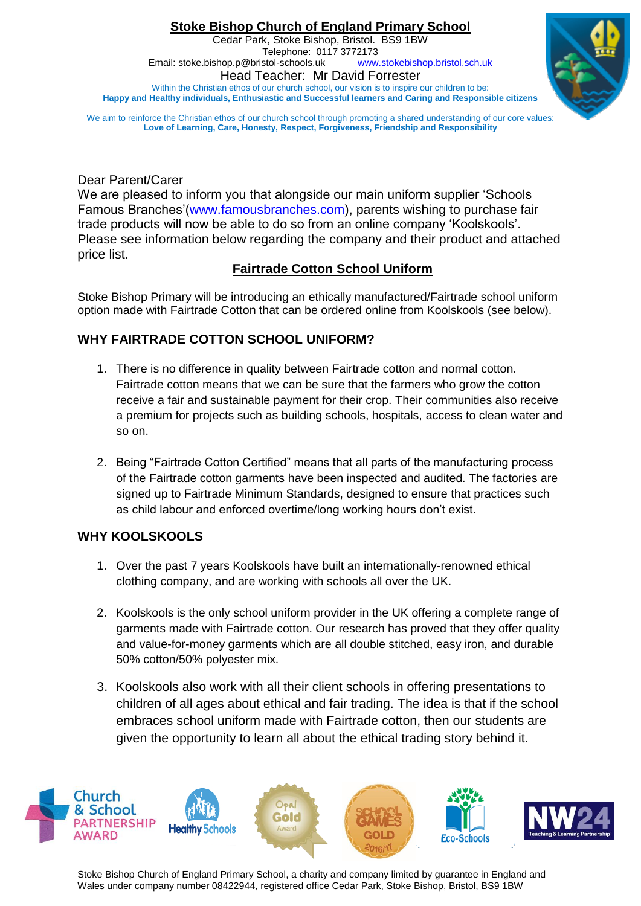**Stoke Bishop Church of England Primary School** Cedar Park, Stoke Bishop, Bristol. BS9 1BW Telephone: 0117 3772173<br>stol-schools.uk www.stokebishop.bristol.sch.uk Email: stoke.bishop.p@bristol-schools.uk Head Teacher: Mr David Forrester Within the Christian ethos of our church school, our vision is to inspire our children to be: **Happy and Healthy individuals, Enthusiastic and Successful learners and Caring and Responsible citizens**



We aim to reinforce the Christian ethos of our church school through promoting a shared understanding of our core values **Love of Learning, Care, Honesty, Respect, Forgiveness, Friendship and Responsibility**

Dear Parent/Carer

We are pleased to inform you that alongside our main uniform supplier "Schools Famous Branches"[\(www.famousbranches.com\)](http://www.famousbranches.com/), parents wishing to purchase fair trade products will now be able to do so from an online company "Koolskools". Please see information below regarding the company and their product and attached price list.

# **Fairtrade Cotton School Uniform**

Stoke Bishop Primary will be introducing an ethically manufactured/Fairtrade school uniform option made with Fairtrade Cotton that can be ordered online from Koolskools (see below).

## **WHY FAIRTRADE COTTON SCHOOL UNIFORM?**

- 1. There is no difference in quality between Fairtrade cotton and normal cotton. Fairtrade cotton means that we can be sure that the farmers who grow the cotton receive a fair and sustainable payment for their crop. Their communities also receive a premium for projects such as building schools, hospitals, access to clean water and so on.
- 2. Being "Fairtrade Cotton Certified" means that all parts of the manufacturing process of the Fairtrade cotton garments have been inspected and audited. The factories are signed up to Fairtrade Minimum Standards, designed to ensure that practices such as child labour and enforced overtime/long working hours don"t exist.

## **WHY KOOLSKOOLS**

- 1. Over the past 7 years Koolskools have built an internationally-renowned ethical clothing company, and are working with schools all over the UK.
- 2. Koolskools is the only school uniform provider in the UK offering a complete range of garments made with Fairtrade cotton. Our research has proved that they offer quality and value-for-money garments which are all double stitched, easy iron, and durable 50% cotton/50% polyester mix.
- 3. Koolskools also work with all their client schools in offering presentations to children of all ages about ethical and fair trading. The idea is that if the school embraces school uniform made with Fairtrade cotton, then our students are given the opportunity to learn all about the ethical trading story behind it.



Stoke Bishop Church of England Primary School, a charity and company limited by guarantee in England and Wales under company number 08422944, registered office Cedar Park, Stoke Bishop, Bristol, BS9 1BW